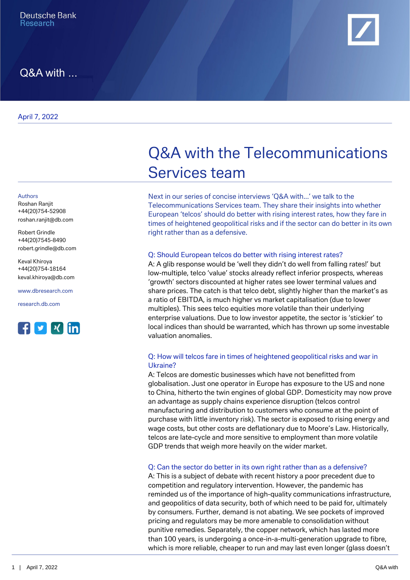

# Q&A with ...

April 7, 2022

#### Authors

Roshan Ranjit +44(20)754-52908 [roshan.ranjit@db.com](mailto:roshan.ranjit@db.com)

Robert Grindle +44(20)7545-8490 [robert.grindle@db.com](mailto:robert.grindle@db.com)

Keval Khiroya +44(20)754-18164 [keval.khiroya@db.com](mailto:keval.khiroya@db.com)

[www.dbresearch.com](https://www.dbresearch.com)

[research.db.com](https://research.db.com)



# Q&A with the Telecommunications Services team

Next in our series of concise interviews 'Q&A with...' we talk to the Telecommunications Services team. They share their insights into whether European 'telcos' should do better with rising interest rates, how they fare in times of heightened geopolitical risks and if the sector can do better in its own right rather than as a defensive.

#### Q: Should European telcos do better with rising interest rates?

A: A glib response would be 'well they didn't do well from falling rates!' but low-multiple, telco 'value' stocks already reflect inferior prospects, whereas 'growth' sectors discounted at higher rates see lower terminal values and share prices. The catch is that telco debt, slightly higher than the market's as a ratio of EBITDA, is much higher vs market capitalisation (due to lower multiples). This sees telco equities more volatile than their underlying enterprise valuations. Due to low investor appetite, the sector is 'stickier' to local indices than should be warranted, which has thrown up some investable valuation anomalies.

#### Q: How will telcos fare in times of heightened geopolitical risks and war in Ukraine?

A: Telcos are domestic businesses which have not benefitted from globalisation. Just one operator in Europe has exposure to the US and none to China, hitherto the twin engines of global GDP. Domesticity may now prove an advantage as supply chains experience disruption (telcos control manufacturing and distribution to customers who consume at the point of purchase with little inventory risk). The sector is exposed to rising energy and wage costs, but other costs are deflationary due to Moore's Law. Historically, telcos are late-cycle and more sensitive to employment than more volatile GDP trends that weigh more heavily on the wider market.

#### Q: Can the sector do better in its own right rather than as a defensive?

A: This is a subject of debate with recent history a poor precedent due to competition and regulatory intervention. However, the pandemic has reminded us of the importance of high-quality communications infrastructure, and geopolitics of data security, both of which need to be paid for, ultimately by consumers. Further, demand is not abating. We see pockets of improved pricing and regulators may be more amenable to consolidation without punitive remedies. Separately, the copper network, which has lasted more than 100 years, is undergoing a once-in-a-multi-generation upgrade to fibre, which is more reliable, cheaper to run and may last even longer (glass doesn't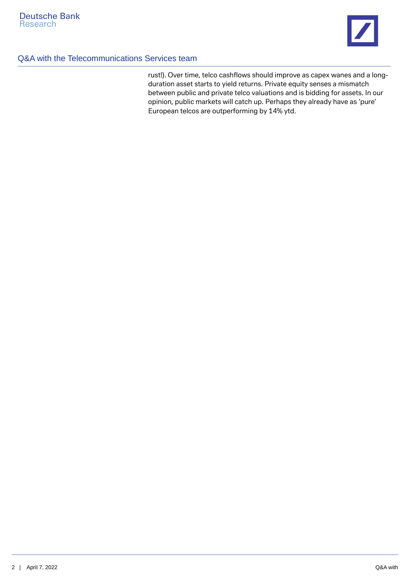

## Q&A with the Telecommunications Services team

rust!). Over time, telco cashflows should improve as capex wanes and a longduration asset starts to yield returns. Private equity senses a mismatch between public and private telco valuations and is bidding for assets. In our opinion, public markets will catch up. Perhaps they already have as 'pure' European telcos are outperforming by 14% ytd.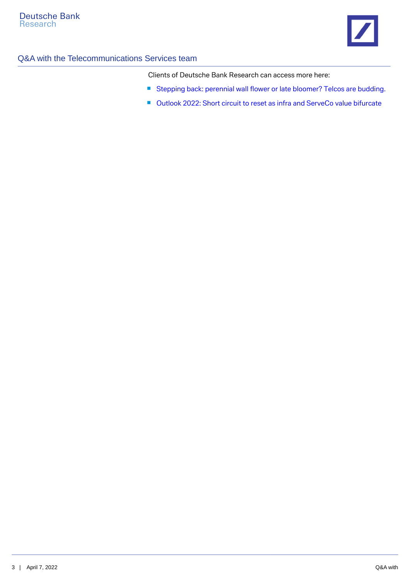

# Q&A with the Telecommunications Services team

Clients of Deutsche Bank Research can access more here:

- [Stepping back: perennial wall flower or late bloomer? Telcos are budding.](https://research.db.com/Research/Article?rid=52cc411a-221a-458a-861d-25194c65ea94-604&kid=RP0001&documentType=R&wt_cc1=IND-1576-2908)
- [Outlook 2022: Short circuit to reset as infra and ServeCo value bifurcate](https://research.db.com/Research/Article?rid=879fe3cc-42c5-11ec-abf9-8433612dc805-604&kid=RP0001&documentType=R&wt_cc1=IND-1576-2908)